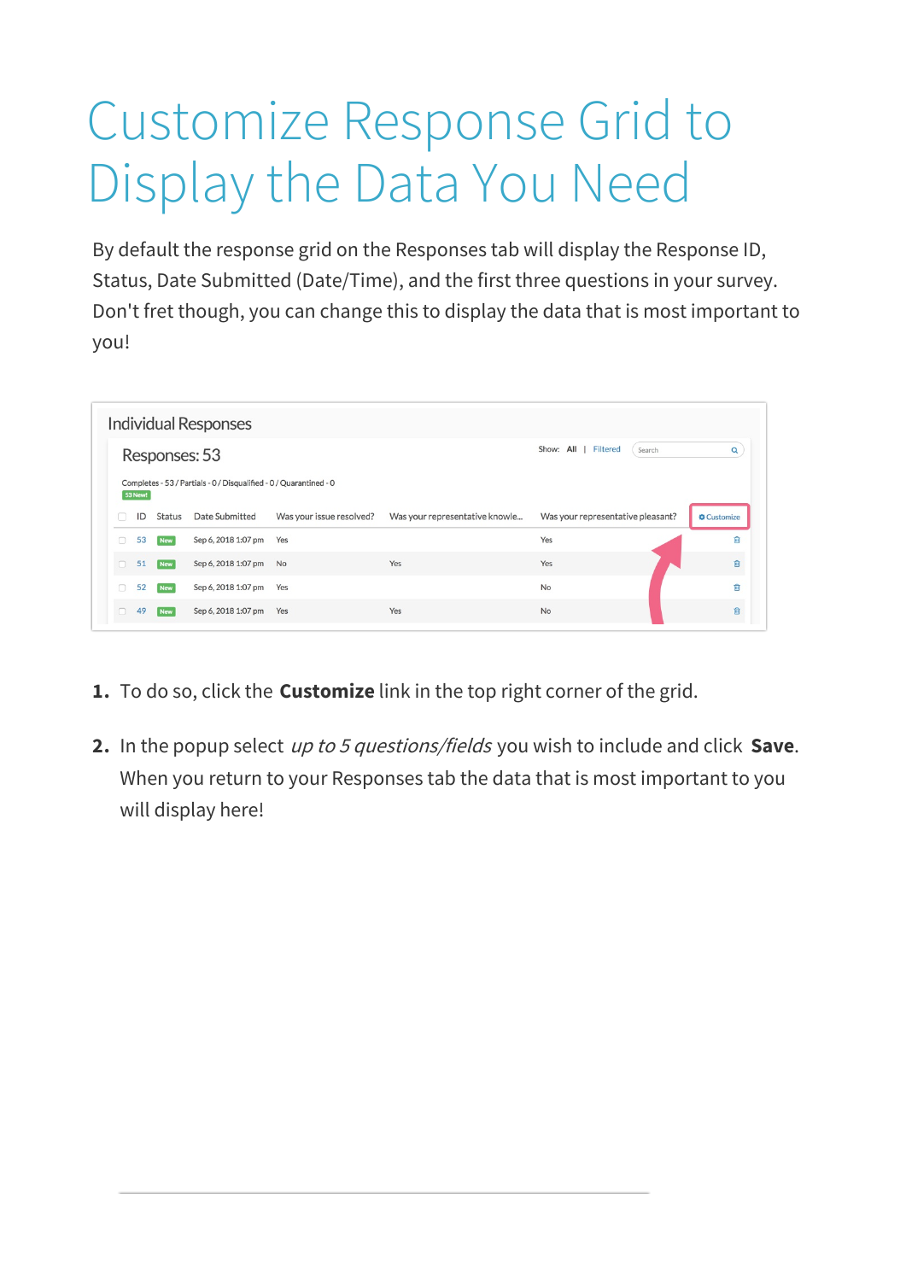## Customize Response Grid to Display the Data You Need

By default the response grid on the Responses tab will display the Response ID, Status, Date Submitted (Date/Time), and the first three questions in your survey. Don't fret though, you can change this to display the data that is most important to you!

| Responses: 53 |                                                                                      |            |                        |                          | Show: All   Filtered<br>Search | Q                                 |           |
|---------------|--------------------------------------------------------------------------------------|------------|------------------------|--------------------------|--------------------------------|-----------------------------------|-----------|
|               | Completes - 53 / Partials - 0 / Disqualified - 0 / Quarantined - 0<br><b>53 New!</b> |            |                        |                          |                                |                                   |           |
|               | ID                                                                                   | Status     | Date Submitted         | Was your issue resolved? | Was your representative knowle | Was your representative pleasant? | Customize |
| o             | 53                                                                                   | <b>New</b> | Sep 6, 2018 1:07 pm    | Yes                      |                                | Yes                               | 自         |
| $\Box$        | 51                                                                                   | <b>New</b> | Sep 6, 2018 1:07 pm No |                          | Yes                            | Yes                               | 育         |
|               | 52                                                                                   | <b>New</b> | Sep 6, 2018 1:07 pm    | Yes                      |                                | <b>No</b>                         | 會         |
| $\Box$        |                                                                                      |            |                        |                          |                                |                                   |           |

- **1.** To do so, click the **Customize** link in the top right corner of the grid.
- **2.** In the popup select up to <sup>5</sup> questions/fields you wish to include and click **Save**. When you return to your Responses tab the data that is most important to you will display here!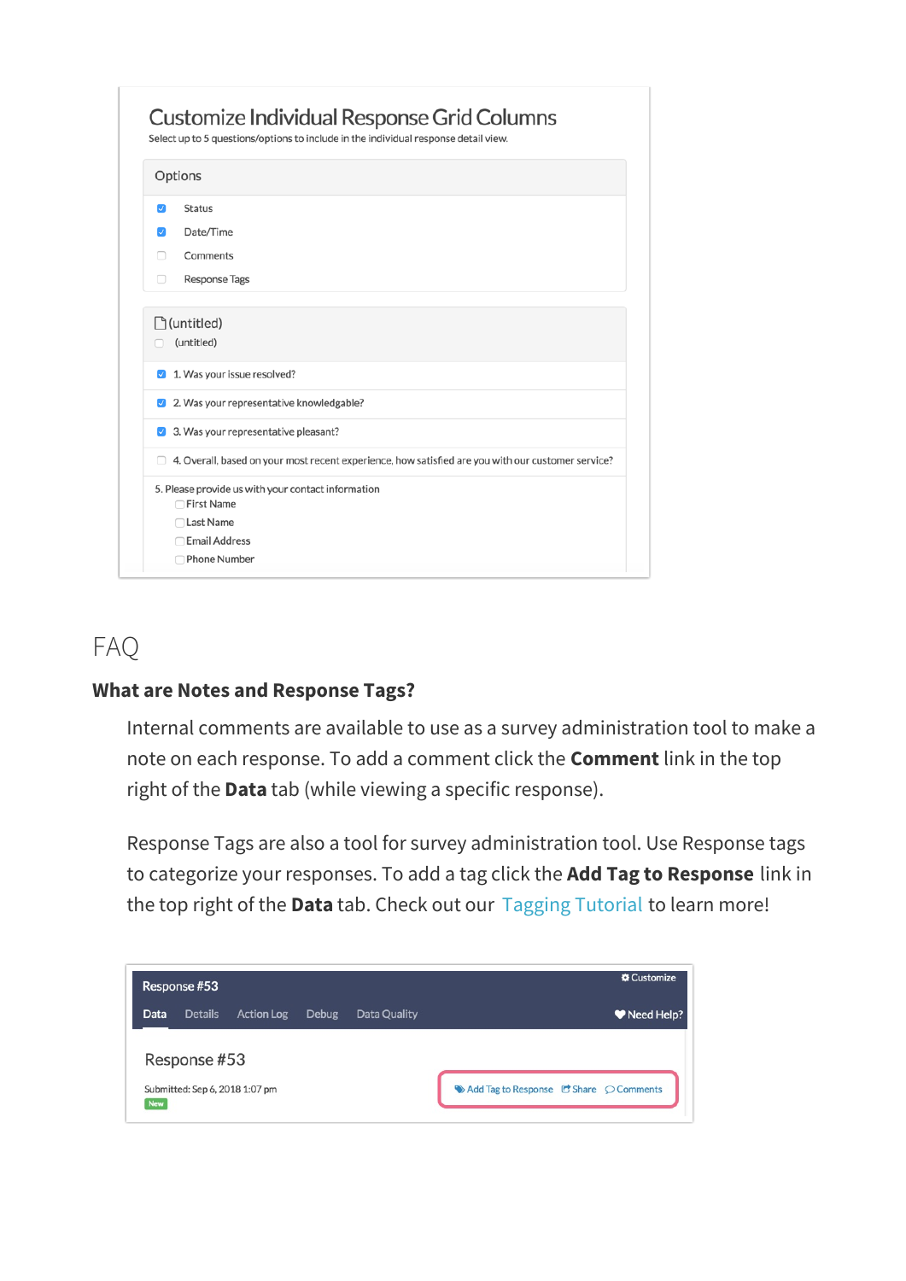| Options            |                                                                                                    |  |  |  |  |
|--------------------|----------------------------------------------------------------------------------------------------|--|--|--|--|
| $\mathcal{L}$      | <b>Status</b>                                                                                      |  |  |  |  |
| M                  | Date/Time<br>Comments                                                                              |  |  |  |  |
|                    |                                                                                                    |  |  |  |  |
| n                  | <b>Response Tags</b>                                                                               |  |  |  |  |
| $\vert$ $\vert$    | 1. Was your issue resolved?                                                                        |  |  |  |  |
| ☑                  | 2. Was your representative knowledgable?                                                           |  |  |  |  |
| $\vert \checkmark$ | 3. Was your representative pleasant?                                                               |  |  |  |  |
|                    | 4. Overall, based on your most recent experience, how satisfied are you with our customer service? |  |  |  |  |
|                    |                                                                                                    |  |  |  |  |
|                    | 5. Please provide us with your contact information<br>□ First Name                                 |  |  |  |  |
|                    | □ Last Name                                                                                        |  |  |  |  |
|                    | <b>Email Address</b>                                                                               |  |  |  |  |

## FAQ

## **What are Notes and Response Tags?**

Internal comments are available to use as a survey administration tool to make a note on each response. To add a comment click the **Comment** link in the top right of the **Data** tab (while viewing a specific response).

Response Tags are also a tool for survey administration tool. Use Response tags to categorize your responses. To add a tag click the **Add Tag to Response** link in the top right of the **Data** tab. Check out our Tagging Tutorial to learn more!